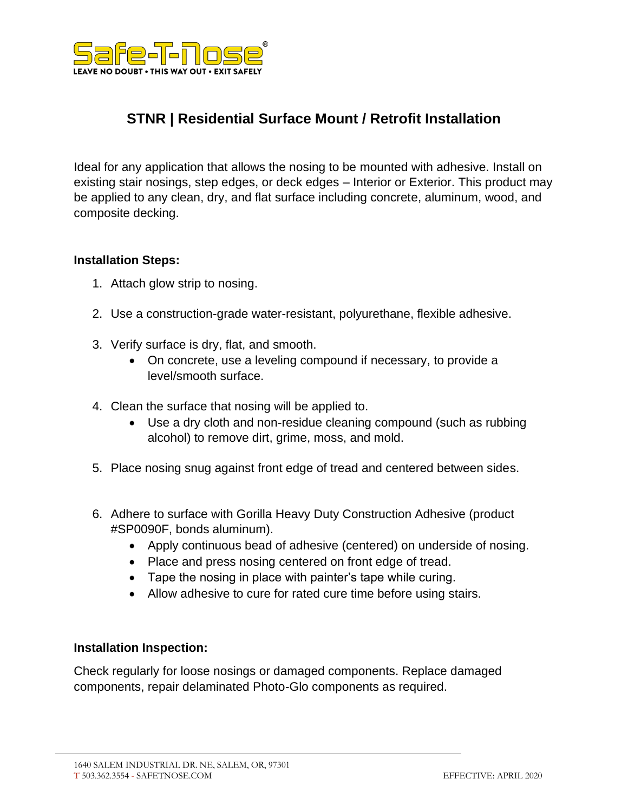

## **STNR | Residential Surface Mount / Retrofit Installation**

Ideal for any application that allows the nosing to be mounted with adhesive. Install on existing stair nosings, step edges, or deck edges – Interior or Exterior. This product may be applied to any clean, dry, and flat surface including concrete, aluminum, wood, and composite decking.

## **Installation Steps:**

- 1. Attach glow strip to nosing.
- 2. Use a construction-grade water-resistant, polyurethane, flexible adhesive.
- 3. Verify surface is dry, flat, and smooth.
	- On concrete, use a leveling compound if necessary, to provide a level/smooth surface.
- 4. Clean the surface that nosing will be applied to.
	- Use a dry cloth and non-residue cleaning compound (such as rubbing alcohol) to remove dirt, grime, moss, and mold.
- 5. Place nosing snug against front edge of tread and centered between sides.
- 6. Adhere to surface with Gorilla Heavy Duty Construction Adhesive (product #SP0090F, bonds aluminum).
	- Apply continuous bead of adhesive (centered) on underside of nosing.
	- Place and press nosing centered on front edge of tread.
	- Tape the nosing in place with painter's tape while curing.
	- Allow adhesive to cure for rated cure time before using stairs.

## **Installation Inspection:**

Check regularly for loose nosings or damaged components. Replace damaged components, repair delaminated Photo-Glo components as required.